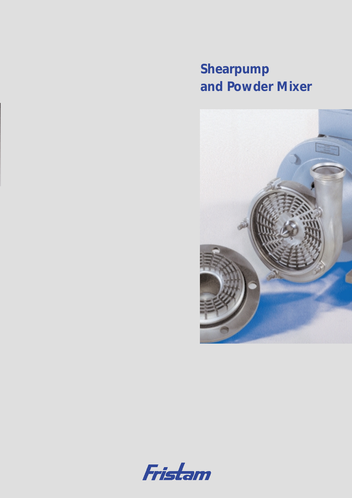*Shearpump and Powder Mixer*



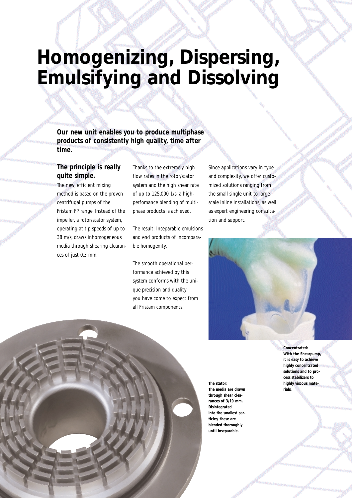### *Homogenizing, Dispersing, Emulsifying and Dissolving*

**Our new unit enables you to produce multiphase products of consistently high quality, time after time.**

### **The principle is really quite simple.**

The new, efficient mixing method is based on the proven centrifugal pumps of the Fristam FP range. Instead of the impeller, a rotor/stator system, operating at tip speeds of up to 38 m/s, draws inhomogeneous media through shearing clearances of just 0.3 mm.

Thanks to the extremely high flow rates in the rotor/stator system and the high shear rate of up to 125,000 1/s, a highperfomance blending of multiphase products is achieved.

The result: Inseparable emulsions and end products of incomparable homogenity.

The smooth operational performance achieved by this system conforms with the unique precision and quality you have come to expect from all Fristam components.

Since applications vary in type and complexity, we offer customized solutions ranging from the small single unit to largescale inline installations, as well as expert engineering consultation and support.



**The stator: The media are drawn through shear clearances of 3/10 mm. Disintegrated into the smallest particles, these are blended thoroughly until inseparable.**

**Concentrated: With the Shearpump, it is easy to achieve highly concentrated solutions and to process stabilizers to highly viscous materials.**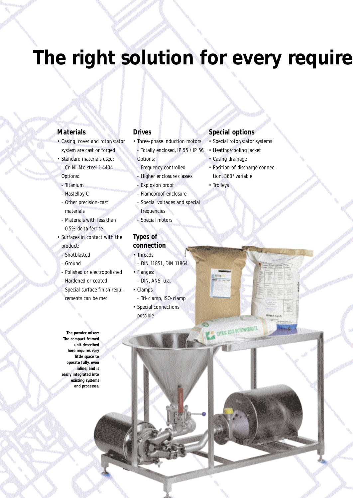# The right solution for every require

#### **Materials**

- Casing, cover and rotor/stator system are cast or forged
- Standard materials used: - Cr-Ni-Mo steel 1.4404 Options:
- Titanium
- Hastelloy C
- Other precision-cast materials
- Materials with less than 0.5% delta ferrite
- Surfaces in contact with the product:
- Shotblasted
- Ground
- Polished or electropolished
- Hardened or coated
- Special surface finish requi-
- rements can be met

**The powder mixer: The compact framed unit described here requires very little space to operate fully, even inline, and is easily integrated into existing systems and processes.**

### **Drives**

- Three-phase induction motors Totally enclosed, IP 55 / IP 56
- Options:
- **Frequency controlled**
- Higher enclosure classes
- Explosion proof
- Flameproof enclosure
- Special voltages and special
- frequencies
- Special motors

### **Types of connection**

- Threads:
- DIN 11851, DIN 11864
- Flanges:
- DIN, ANSI u.a.
- Clamps:
- Tri-clamp, ISO-clamp • Special connections
- possible

#### **Special options**

- Special rotor/stator systems
- Heating/cooling jacket
- Casing drainage
- Position of discharge connection, 360° variable
- Trolleys

**Allen** 

**CONCACTORNISTS**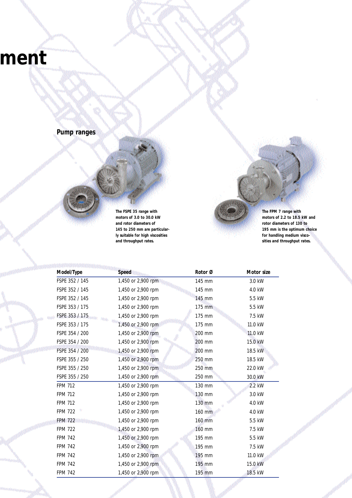### *ment*



**The FSPE 35 range with motors of 3.0 to 30.0 kW and rotor diameters of 145 to 250 mm are particularly suitable for high viscosities and throughput rates.**

**The FPM 7 range with motors of 2.2 to 18.5 kW and rotor diameters of 130 to 195 mm is the optimum choice for handling medium viscosities and throughput rates.**

| Model/Type     | <b>Speed</b>       | Rotor Ø  | Motor size |  |
|----------------|--------------------|----------|------------|--|
| FSPE 352 / 145 | 1,450 or 2,900 rpm | 145 mm   | 3.0 kW     |  |
| FSPE 352 / 145 | 1,450 or 2,900 rpm | 145 mm   | 4.0 kW     |  |
| FSPE 352 / 145 | 1,450 or 2,900 rpm | 145 mm   | 5.5 kW     |  |
| FSPE 353 / 175 | 1,450 or 2,900 rpm | 175 mm   | 5.5 kW     |  |
| FSPE 353 / 175 | 1,450 or 2,900 rpm | 175 mm   | 7.5 kW     |  |
| FSPE 353 / 175 | 1,450 or 2,900 rpm | 175 mm   | 11.0 kW    |  |
| FSPE 354 / 200 | 1,450 or 2,900 rpm | 200 mm   | 11.0 kW    |  |
| FSPE 354 / 200 | 1,450 or 2,900 rpm | 200 mm   | 15.0 kW    |  |
| FSPE 354 / 200 | 1,450 or 2,900 rpm | 200 mm   | 18.5 kW    |  |
| FSPE 355 / 250 | 1,450 or 2,900 rpm | 250 mm   | 18.5 kW    |  |
| FSPE 355 / 250 | 1,450 or 2,900 rpm | 250 mm   | 22.0 kW    |  |
| FSPE 355 / 250 | 1,450 or 2,900 rpm | 250 mm   | 30.0 kW    |  |
| <b>FPM 712</b> | 1,450 or 2,900 rpm | 130 mm   | 2.2 kW     |  |
| <b>FPM 712</b> | 1,450 or 2,900 rpm | 130 mm   | 3.0 kW     |  |
| <b>FPM 712</b> | 1,450 or 2,900 rpm | 130 mm   | 4.0 kW     |  |
| <b>FPM 722</b> | 1,450 or 2,900 rpm | 160 mm   | 4.0 kW     |  |
| <b>FPM 722</b> | 1,450 or 2,900 rpm | 160 mm   | 5.5 kW     |  |
| <b>FPM 722</b> | 1,450 or 2,900 rpm | 160 mm   | 7.5 kW     |  |
| <b>FPM 742</b> | 1,450 or 2,900 rpm | 195 mm   | 5.5 kW     |  |
| <b>FPM 742</b> | 1,450 or 2,900 rpm | 195 mm   | 7.5 kW     |  |
| <b>FPM 742</b> | 1,450 or 2,900 rpm | 195 mm   | 11.0 kW    |  |
| <b>FPM 742</b> | 1,450 or 2,900 rpm | $195$ mm | 15.0 kW    |  |
| <b>FPM 742</b> | 1,450 or 2,900 rpm | 195 mm   | 18.5 kW    |  |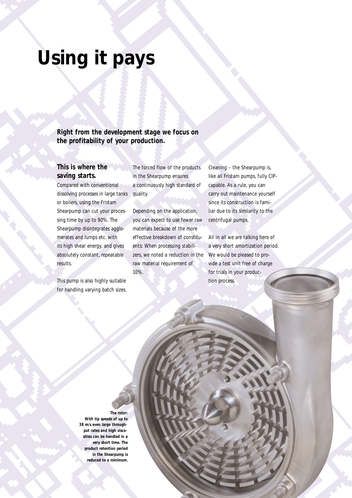## *Using it pays*

**Right from the development stage we focus on the profitability of your production.**

### **This is where the saving starts.**

Compared with conventional dissolving processes in large tanks or boilers, using the Fristam Shearpump can cut your processing time by up to 90%. The Shearpump disintegrates agglomerates and lumps etc. with its high shear energy, and gives absolutely constant, repeatable results.

This pump is also highly suitable for handling varying batch sizes.

The forced flow of the products in the Shearpump ensures a continuously high standard of quality.

Depending on the application, you can expect to use fewer raw materials because of the more effective breakdown of constituents: When processing stabilizers, we noted a reduction in the raw material requirement of 10%.

Cleaning – the Shearpump is, like all Fristam pumps, fully CIPcapable. As a rule, you can carry out maintenance yourself since its construction is familiar due to its similarity to the centrifugal pumps.

All in all we are talking here of a very short amortization period. We would be pleased to provide a test unit free of charge for trials in your production process.

#### **The rotor:**

**With tip speeds of up to 38 m/s even large throughput rates and high viscosities can be handled in a very short time. The product retention period in the Shearpump is reduced to a minimum.**